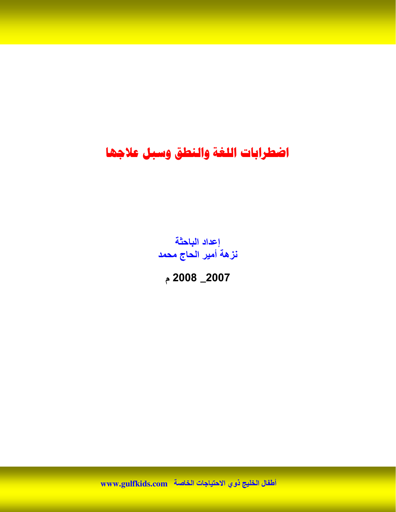إعداد الباحثة نزهة أمير الحاج محمد

2007\_ 2008 م

اطفال الخليج ذوي الاحتياجات الخاصة \_www.gulfkids.com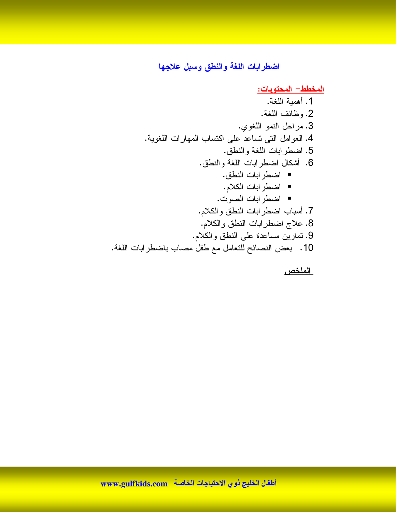<u> المخطط – المحتويات:</u>

الملخص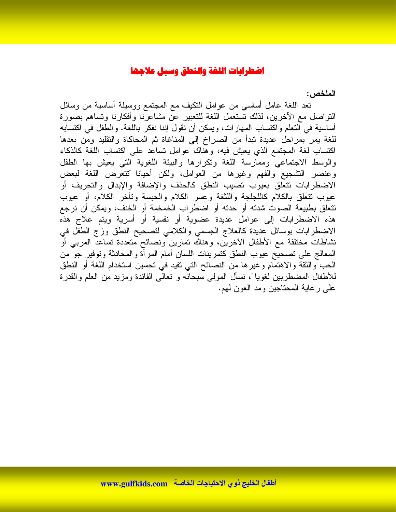الملخص :

نعد اللغة عامل أساسي من عوامل النكيف مع المجتمع ووسيلة أساسية من وسائل النواصل مع الأخرين، لذلك نستعمل اللغة للنعبير عن مشاعرّنا وأفكارنا ونساهم بصورة أساسية في التعلم واكتساب المهارات، ويمكن أن نقول إننا نفكر باللغة. والطفل في اكتسابه للغة بمر بمراحل عديدة تبدأ من الصراخ إلى المناغاة ثم المحاكاة والنقليد ومن بعدها اكتساب لغة المجتمع الذي يعيش فيه، وهناك عوامل تساعد على اكتساب اللغة كالذكاء والوسط الاجتماعي وممارسة اللغة ونكرارها والبيئة اللغوية التبي يعيش بها الطفل وعنصر التشجيع والفهم وغيرها من العوامل، ولكن أحيانا تتتعرض اللغة لبعض الاضطرابات نتعلق بعيوب نصيب النطق كالحذف والإضافة والإبدال والتحريف أو عيوب نتعلق بالكلام كاللجلجة واللثغة وعسر الكلام والحبسة ونأخر الكلام، أو عيوب نتعلق بطبيعة الصوت شدته أو حدته أو اضطراب الخمخمة أو الخنف، ويمكن أن نرجع هذه الاضطرابات إلى عوامل عديدة عضوية أو نفسية أو أسرية ويتم علاج هذه الاضطرابات بوسائل عديدة كالعلاج الجسمي والكلامي لتصحيح النطق وزج الطفل في نشاطات مختلفة مع الأطفال الأخرين، وهناك تمارين ونصائح متعددة تساعد المرببي أو المعالج على تصحيح عيوب النطق كتمرينات اللسان أمام المرأة والمحادثة وتوفير جو من الحب والثقة والاهتمام وغيرها من النصائح التي تفيد في نحسين استخدام اللغة أو النطق للأطفال المضطربين لغويا ً، نسأل المولى سبحانه و نعالى الفائدة ومزيد من العلم والقدرة علي ر عاية المحتاجين ومد العون لمهم.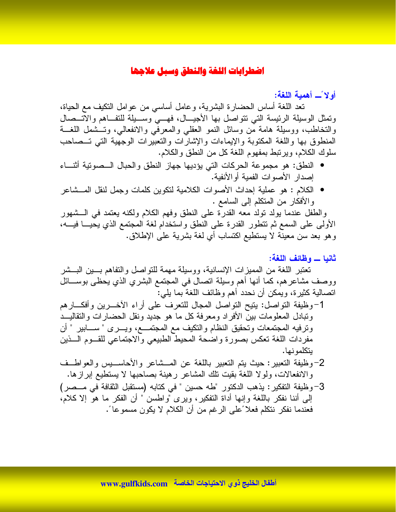أولاً \_ أهمية اللغة:

نعد اللغة أساس الحضارة البشرية، وعامل أساسي من عوامل النكيف مع الحياة، ونَمثل الوسيلة الرئيسة التي نتواصل بها الأجيـــال، فهـــي وســـيلة للنفـــاهم والاتـــصال والتخاطب، ووسيلة هامة من وسائل النمو العقلبي والمعرفي والانفعالي، وتسشمل اللغسة المنطوق بها واللغة المكتوبة والإيماءات والإشارات والتعبيرات الوجهية التبي تسصاحب سلوك الكلام، ويرتبط بمفهوم اللغة كل من النطق والكلام.

- النطق: هو مجموعة الحركات التي يؤديها جهاز النطق والحبال الــصوتية أثنـــاء إصدار الأصوات الفمية أوالأنفية.
- الكلام : هو عملية إحداث الأصوات الكلامية لتكوين كلمات وجمل لنقل المـــشاعر والأفكار من المتكلم إلى السامع .

والطفل عندما بولد نولد معه القدرة على النطق وفهم الكلام ولكنه بعتمد في الـــشهور الأولى على السمع ثم تتطور القدرة على النطق واستخدام لغة المجتمع الذي يحيـــا فيـــه، وهو بعد سن معينة لا يستطيع اكتساب أي لغة بشرية على الإطلاق.

#### ثانيا \_ وظائف اللغة:

تعتبر اللغة من المميز ات الإنسانية، ووسيلة مهمة للتواصل والتفاهم بسين البسشر ووصف مشاعر هم، كما أنها أهم وسيلة انصال في المجتمع البشري الذي يحظى بوســـائل انصالية كثيرة، ويمكن أن نحدد أهم وظائف اللغة بما يلي:

- 1-وظيفة النواصل: بنيح النواصل المجال للنعرف على أراء الأخـــرين وأفكـــارهم ونبادل المعلومات بين الأفراد ومعرفة كل ما هو جديد ونقل الحضارات والنقاليـــد وترفيه المجتمعات وتحقيق النظام والنكيف مع المجتمـــع، ويــــرى " ســـــابير " أن مفردات اللغة نعكس بصورة واضحة المحيط الطبيعي والاجتماعي للقــوم الـــذين بتكلمو نها.
- 2-وظيفة التعبير: حيث يتم التعبير باللغة عن المـــشاعر والأحاســـيس والعواطــف والانفعالات، ولولا اللغة بقيت نلك المشاعر رهينة بصاحبها لا يستطيع إبرازها.
- 3-وظيفة النفكير: يذهب الدكتور "طه حسين " في كتابه (مستقبل الثقافة في مــصر) إلى أننا نفكر باللغة وإنها أداة النفكير، ويرى "واطسن " أن الفكر ما هو إلا كلام، فعندما نفكر نتكلم فعلا ًعلى الرغم من أن الكلام لا يكون مسموعا ً.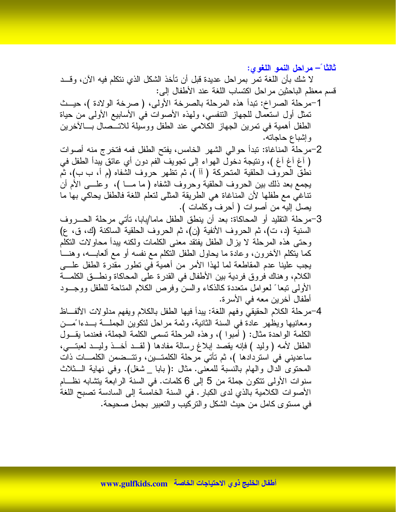ثالثًا ً— مراحل النمو اللغوى: لا شك بأن اللغة تمر بمراحل عديدة قبل أن تأخذ الشكل الذي نتكلم فيه الآن، وقــد قسم معظم الباحثين مراحل اكتساب اللغة عند الأطفال إلى:

- 1–مرحلة الصراخ: تبدأ هذه المرحلة بالصرخة الأولى، ( صرخة الولادة )، حيــث تمثَّل أول استعمال للجهاز التنفسي، ولهذه الأصوات في الأسابيع الأولى من حياة الطفل أهمية في تمرين الجهاز الكلامي عند الطفل ووسيلة للاتـــصـال بـــالأخرين وإشباع حاجاته.
- 2–مرحلة المناغاة: تبدأ حوالي الشهر الخامس، يفتح الطفل فمه فتخرج منه أصوات ( أَغِ أَغِ أَغِ )، ونتيجة دخول الهواء إلى تجويف الفم دون أي عائق يبدأ الطفل في نطقُ الْحروفِ الحلقية المتحركة ( أأ )، ثم تظهر حروف الشفاه (م أ، ب ب)، ثم يجمع بعد ذلك بين الحروف الحلقية وحروف الشفاه ( ما مـــا )، ۖ وعلـــي الأم أن تناغي مع طفلها لأن المناغاة هي الطريقة المثلي لتعلم اللغة فالطفل يحاكي بها ما يصل إليه من أصوات ( أحرف وكلمات ).
- 3-مرحلة النقليد أو المحاكاة: بعد أن ينطق الطفل ماما/بابا، نأتـي مرحلة الـحـــروف السنية (د، ت)، ثم الحروف الأنفية (ن)، ثم الحروف الحلقية الساكنة (ك، ق، ع) وحتى هذه المرحلة لا يزال الطفل يفتقد معنى الكلمات ولكنه يبدأ محاولات النكلم كما ينكلم الأخرون، وعادة ما يحاول الطفل النكلم مع نفسه أو مع ألعابـــه، وهنــــا يجب علينا عدم المقاطعة لما لهذا الأمر من أهمية في نطور مقدرة الطفل علــــى الكلام، وهناك فروق فردية بين الأطفال في القدرة علَّى المحاكاة ونطـــق الكلمــــة الأولىي نبعا ً لعوامل منعددة كالذكاء والسن وفرص الكلام المناحة للطفل ووجــود أطفال آخرين معه في الأسرة.
- 4-مرحلة الكلام الحقيقي وفهم اللغة: يبدأ فيها الطفل بالكلام ويفهم مدلولات الألفــاظ ومعانيها ويظهر عادة في السنة الثانية، وثمة مراحل لتكوين الجملـــة بـــدءا ًمـــن الكلمة الواحدة مثال: ( أمبوا )، وهذه المرحلة نسمي الكلمة الجملة، فعندما يقـــول الطفل لأمه ( وليد ) فإنه يقصد إبلاغ رسالة مفادها ( لقــد أخــذ وليــد لعبتـــي، ساعديني في استردادها )، ثم تأتي مرحلة الكلمتـــين، وتتـــضمن الكلمــــات ذات المحتوى الدال والـهام بالنسبة للمعنى. مثال :(بابا \_شغل). وفي نـهاية الـــثلاث سنوات الأولى نتكون جملة من 5 إلى 6 كلمات. في السنة الرابعة بتشابه نظــام الأصوات الكلامية بالذي لدى الكبار . في السنة الخامسة إلى السادسة تصبح اللغة في مستوى كامل من حيث الشكل والتركيب والتعبير بجمل صحيحة.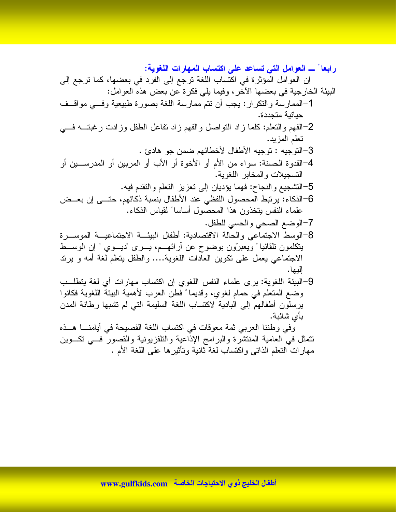نتمثل في العامية المنتسره والبرامج الإداعية والتنغريونية والتصور<br>مهارات النعلم الذاتي واكتساب لغة ثانية وتأثيرها على اللغة الأم .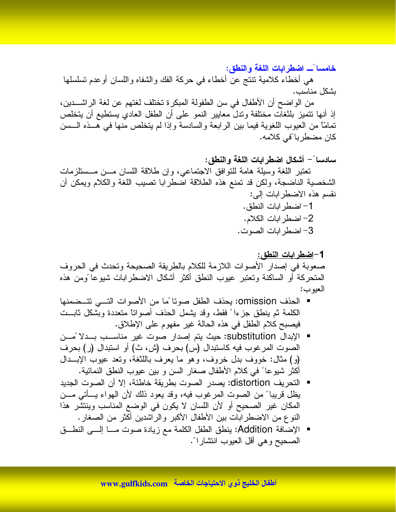خامسا ًـــ اضطرابات اللغة والنطق:

هي أخطاء كلامية نتنج عن أخطاء في حركة الفك والشفاه واللسان أوعدم نسلسلها بشكل مناسب.

من الو اضح أن الأطفال في سن الطفولة المبكر ة تختلف لغتهم عن لغة الر اشـــدين، إذ أنها نتميز بلثغات مختلفة وندل معايير النمو على أن الطفل العادي يستطيع أن يتخلص تمامًّا من العيوب اللغوية فيما بين الرابعة والسادسة وإذا لم يتخلص منها في هــذه الـــسن كان مضطربا ًفي كلامه.

2– اضطر ابات الكلام. 3– اضطر ابات الصوت.

1–<u>اضطرابات النطق:</u> صعوبة في إصدار الأصوات اللازمة للكلام بالطريقة الصحيحة وتحدث في الحروف المتحركة أو الساكنة وتعتبر عيوب النطق أكثر أشكال الاضطرابات شيوعا ومن هذه العبوب:

- الحذف omission: يحذف الطفل صونا ًما من الأصوات التـــى تتــضمنها الكلمة ثم ينطق جزءا ً فقط، وقد يشمل الحذف أصواتًا متعددة وبشكل ثابــت فيصبح كلام الطفل في هذه الحالة غير مفهوم على الإطلاق.
- الإبدال substitution: حيث يتم إصدار صوت غير مناســب بــدلا ًمـــن الصوت المرغوب فيه كاستبدال (س) بحرف (ش، ث) أو استبدال (ر) بحرف (و) مثال: خووف بدل خروف، وهو ما يعرف باللثغة، وتعد عيوب الإبــدال أكثر شيوعا ً في كلام الأطفال صغار السن و بين عيوب النطق النمائية.
- النحريف distortion: يصدر الصوت بطريقة خاطئة، إلا أن الصوت الجديد يظل قريبا ً من الصوت المرغوب فيه، وقد يعود ذلك لأن الهواء يسأتي مـــن المكان غير الصحيح أو لأن اللسان لا يكون في الوضع المناسب وينتشر هذا النوع من الاضطرابات بين الأطفال الأكبر والراشدين أكثر من الصغار .
- الإضافة Addition: ينطق الطفل الكلمة مع زيادة صوت مـــا إلـــى النطـــق الصحيح و هي أقل العيوب انتشار اءً.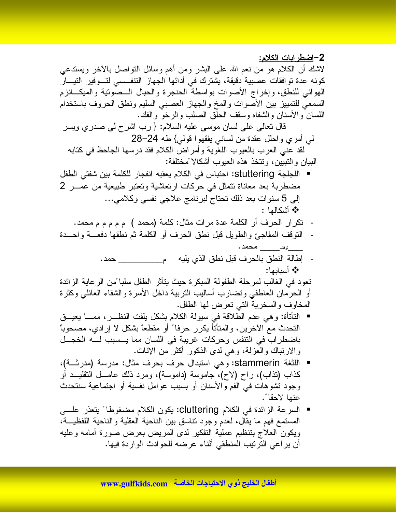2–اضطرابات الكلام: لاشك أن الكلام هو من نعم الله على البشر ومن أهم وسائل النواصل بالأخر ويستدعى كونه عدة تو افقات عصبية دقيقة، يشترك في أدائها الجهاز النتفسي لتسوفير التيسار الهوائي للنطق، وإخراج الأصوات بواسطة الحنجرة والحبال الــصونية والميكـــانزم السمعي للتمييز بين الأصوات والمخ والجهاز العصببي السليم ونطق الحروف باستخدام اللسان والأسنان والشفاه وسقف الحلق الصلب والرخو والفك.

قال تعالى على لسان موسى عليه السلام: { رب اشرح لي صدري ويسر لمي أمري واحلل عقدة من لسانبي يفقهوا قولبي} طه 24–28 لقد عني العرب بالعيوب اللغوية وأمراض الكلام فقد درسها الجاحظ في كتابه البيان و التبيين، وتتخذ هذه العيوب أشكالا ًمختلفة:

- اللجلجة stuttering: احتباس في الكلام يعقبه انفجار للكلمة بين شفتي الطفل مضطربة بعد معاناة نتمثل في حركات ارتعاشية وتعتبر طبيعية من عمـــر 2 إلى 5 سنوات بعد ذلك تحتاج لبرنامج علاجي نفسي وكلامي... \* أشكالها :
	- تكرار الحرف أو الكلمة عدة مرات مثال: كلمة (محمد ) م م م م محمد.
- النوقف المفاجئ والطويل قبل نطق الحرف أو الكلمة ثم نطقها دفعـــة واحـــدة
	- إطالة النطق بالحرف قبل نطق الذي يليه مصطلح حمد. \* أسدارها:

تعود في الغالب لمرحلة الطفولة المبكرة حيث يتأثر الطفل سلبا ًمن الرعاية الزائدة أو الحرمان العاطفي ونضارب أساليب النربية داخل الأسرة والشقاء العائلي وكثرة المخاوف والسخرية التي تعرض لها الطفل.

- النتَاناة: وهي عدم الطلاقة في سيولة الكلام بشكل يلفت النظــــر ، ممـــــا يعيــــق النحدث مع الأخرين، والمنأتأ يكرر حرفا ً أو مقطعًا بشكل لا إرادي، مصحوباً باضطراب في التنفس وحركات غريبة في اللسان مما يــسبب لــه الخجــل والارتباك والعزلة، وهي لدى الذكور أكثر من الإناث.
- اللثغة stammerin: وهي استبدال حرف بحرف مثال: مدرسة (مدرثــة)، كذاب (نذاب)، راح (لاح)، جاموسة (داموسة)، ومرد ذلك عامـــل النقليـــد أو وجود نُشوهات في الفم والأسنان أو بسبب عوامل نفسية أو اجتماعية سنتحدث عنها لاحقا ً.
- السرعة الزائدة في الكلام cluttering: يكون الكلام مضغوطا ً يتعذر علـــي المستمع فهم ما يقال، لعدم وجود نتاسق بين الناحية العقلية والناحية اللفظيـــة، ويكون العلاج بتنظيم عملية التفكير لدى المريض بعرض صورة أمامه وعليه أن يراعى الترتيب المنطقي أثناء عرضه للحوادث الواردة فيها.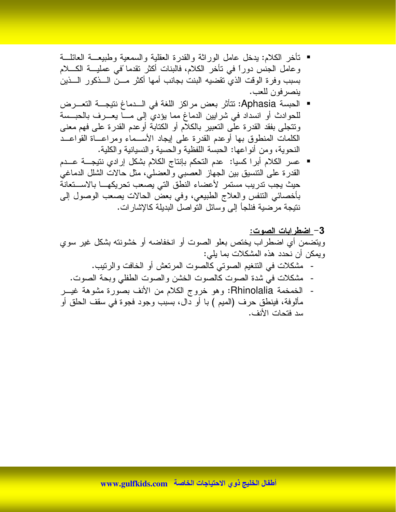- تأخر الكلام: يدخل عامل الوراثة والقدرة العقلية والسمعية وطبيعـــة العائلـــة وعامل الجنس دوراً في تأخر الكلام، فالبنات أكثر تقدما ًفي عمليـــة الكــــلام بسبب وفرة الوقت الذي تقضيه البنت بجانب أمها أكثر مسن السذكور السذين ينصر فون للعب.
- الحبسة Aphasia: تتأثَّر بعض مراكز اللغة في الـــدماغ نتيجـــة التعـــرض للحوادث أو انسداد في شرايين الدماغ مما يؤدي إلى مـــا يعـــرف بالحبــسة ونتجلَّى بفقد القدرة على التعبير بالكلام أو الكتابة أوعدم القدرة على فهم معنى الكلمات المنطوق بها أوعدم القدرة على إيجاد الأســـماء ومراعـــاة القواعـــد النحوية، ومن أنو اعها: الحبسة اللفظية و الحسية و النسيانية و الكلية.
- عسر الكلام أبرا كسيا: عدم التحكم بإنتاج الكلام بشكل إرادي نتيجـــة عـــدم  $\overline{\phantom{a}}$ القدرة على النتسبق بين الجهاز العصببي والعضلي، مثل حالات الشلل الدماغي حيث يجب تدريب مستمر لأعضاء النطق التي يصعب تحريكهـــا بالاســـتعانة بأخصائي النتفس والعلاج الطبيعي، وفي بعض الحالات يصعب الوصول إلى نتيجة مرضية فنلجأ إلى وسائل النواصل البديلة كالإشارات.

## 3– اضطر ابات الصوت: ويتضمن أي اضطراب يختص بعلو الصوت أو انخفاضه أو خشونته بشكل غير سوي ويمكن أن نحدد هذه المشكلات بما يلي: - مشكلات في التنغيم الصوتي كالصوت المرنعش أو الخافت والرنيب. مشكلات في شدة الصوت كالصوت الخشن والصوت الطفلي وبحة الصوت. - الخمخمة Rhinolalia: وهو خروج الكلام من الأنف بصورة مشوهة غيـــر مألوفة، فينطق حرف (الميم ) با أو دال، بسبب وجود فجوة في سقف الحلق أو

سد فتحات الأنف.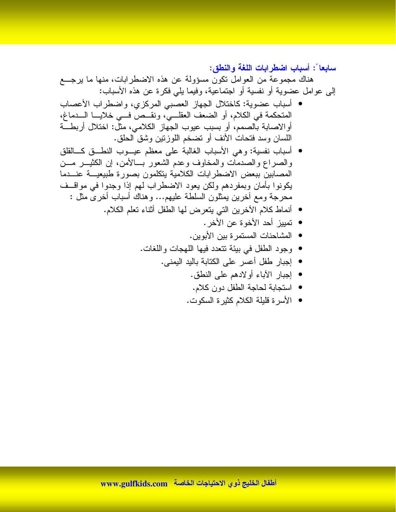سابعا ً: أسباب اضطرابات اللغة والنطق:

هناك مجموعة من العوامل نكون مسؤولة عن هذه الاضطرابات، منها ما يرجع إلى عوامل عضوية أو نفسية أو اجتماعية، وفيما يلي فكرة عن هذه الأسباب:

- أسباب عضوية: كاختلال الجهاز العصبي المركزي، واضطراب الأعصاب المتحكمة في الكلام، أو الضعف العقلــيّ، ونقــص فـــي خلايـــا الـــدماغ، أوالاصابة بالصمم، أو بسبب عيوب الجهاز الكلامي، مثل: اختلال أربطَّــة اللسان وسد فتحات الأنف أو نضخم اللوزنين وشق الحلق.
- أسباب نفسية: وهي الأسباب الغالبة على معظم عيـــوب النطـــق كــــالقلق والصراع والصدمات والمخاوف وعدم الشعور بسالأمن، إن الكثيـــر مـــن المصابين ببعض الاضطرابات الكلامية يتكلمون بصورة طبيعيسة عنسدما يكونوا بأمان وبمفردهم ولكن يعود الاضطراب لهم إذا وجدوا فمي مواقسف محرجة ومع أخرين بمثلون السلطة عليهم... وهناك أسباب أخرى مثل :
	- أنماط كلام الأخرين التي يتعرض لها الطفل أثناء تعلم الكلام.
		- تمييز أحد الأخوة عن الأخر.
		- المشاحنات المستمر ة بين الأبوين.
		- وجود الطفل في بيئة نتعدد فيها اللهجات واللغات.
			- إجبار طفل أعسر على الكتابة باليد اليمني.
				- إجبار الأباء أولادهم على النطق.
				- استجابة لحاجة الطفل دون كلام.
				- الأسرة قليلة الكلام كثيرة السكوت.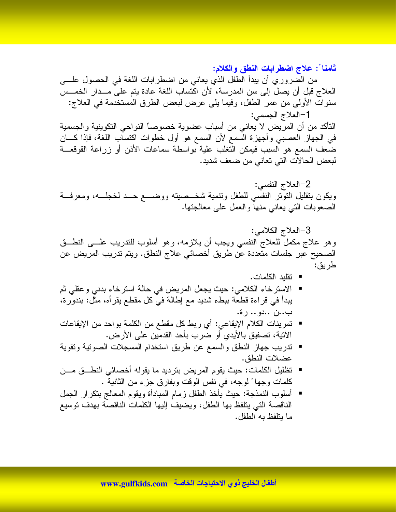ثامناً : علاج اضطرابات النطق والكلام:

من الضروري أن يبدأ الطفل الذي يعاني من اضطرابات اللغة في الحصول علـــي العلاج قبل أن يصل إلى سن المدرسة، لأن اكتساب اللغة عادة يتم على مــدار الخمــس سنوات الأولى من عمر الطفل، وفيما يلي عرض لبعض الطرق المستخدمة في العلاج: 1-العلاج الجسمي:

الناكد من أن المريض لا يعاني من أسباب عضوية خصوصاً النواحي التكوينية والجسمية في الجهاز العصبي وأجهزة السمع لأن السمع هو أول خطوات اكتساب اللغة، فإذا كـــان ضعف السمع هو السبب فيمكن النغلب علية بواسطة سماعات الأذن أو زراعة القوقعـــة لبعض الحالات التي تعاني من ضعف شديد.

2-العلاج النفسي: ويكون بنقليل النونر النفسي للطفل ونتمية شخــصينه ووضـــع حــد لخجلـــه، ومعرفـــة الصعوبات التي يعاني منها والعمل على معالجتها.

3-العلاج الكلامي: وهو علاج مكمل للعلاج النفسي ويجب أن يلازمه، وهو أسلوب للندريب علـــي النطـــق الصحيح عبر جلسات متعددة عن طريق أخصائي علاج النطق. ويتم تدريب المريض عن طر يق:

- تقلبد الكلمات.
- الاسترخاء الكلامي: حيث يجعل المريض في حالة استرخاء بدني وعقلي ثم يبدأ في قراءة قطعة ببطء شديد مع إطالة في كل مقطع يقرأه، مثل: بندورة، ب..ن ..دو .. رة.
- تمرينات الكلام الإيقاعي: أي ربط كل مقطع من الكلمة بواحد من الإيقاعات الآتية، تصفيق بالأيدي أو ضرب بأحد القدمين على الأرض.
- تدريب جهاز النطق والسمع عن طريق استخدام المسجلات الصوتية وتقوية  $\overline{\phantom{a}}$ عضلات النطق.
- تظليل الكلمات: حيث يقوم المريض بترديد ما يقوله أخصائي النطـــق مـــن كلمات وجها ً لوجه، في نفس الوقت وبفارق جزء من الثانية .
- أسلوب النمذجة: حيث يأخذ الطفل زمام المبادأة ويقوم المعالج بنكر ار الجمل الناقصة التي يتلفظ بها الطفل، ويضيف إليها الكلمات الناقصة بهدف توسيع ما بتلفظ به الطفل.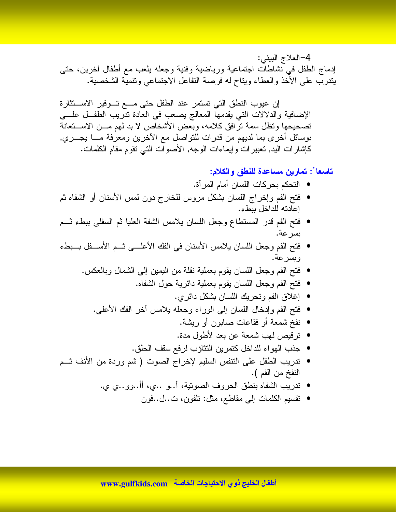4-العلاج البيئي: إدماج الطفل في نشاطات اجتماعية ورياضية وفنية وجعله يلعب مع أطفال أخرين، حتى يتدرب على الأخذ والعطاء ويناح له فرصة النفاعل الاجتماعى ونتمية الشخصية.

إن عيوب النطق التي تستمر عند الطفل حتى مـــع تـــوفير الاســـتثارة الإضافية والدلالات التي يقدمها المعالج يصعب في العادة تدريب الطفــل علــــى تصحيحها وتظل سمة ترافق كلامه، وبعض الأشخاص لا بد لهم مـــن الاســـتعانة بوسائل أخرى بما لديهم من قدرات للنواصل مع الأخرين ومعرفة مـــا يجـــري, كإشارات اليد, تعبيرات وإيماءات الوجه, الأصوات التي نقوم مقام الكلمات.

تاسعا ً: تمارين مساعدة للنطق والكلام:

- التحكم بحر كات اللسان أمام المر آة.
- فتح الفم وإخراج اللسان بشكل مروس للخارج دون لمس الأسنان أو الشفاه ثم إعادته للداخل ببطء.
- فتح الفم قدر المستطاع وجعل اللسان يلامس الشفة العليا ثم السفلى ببطء ثـــم بسر عة.
- فتح الفم وجعل اللسان يلامس الأسنان في الفك الأعلـــي ثـــم الأســـفل بـــبطء وبسرعة.
	- فتح الفم وجعل اللسان يقوم بعملية نقلة من اليمين إلى الشمال وبالعكس.
		- فتح الفم وجعل اللسان يقوم بعملية دائرية حول الشفاه.
			- إغلاق الفم وتحريك اللسان بشكل دائر ي.
		- فتح الفم وإدخال اللسان إلى الوراء وجعله بلامس أخر الفك الأعلى.
			- نفخ شمعة أو فقاعات صابون أو ريشة.
			- ترقيص لهب شمعة عن بعد لأطول مدة.
			- جذب الهواء للداخل كتمرين النثاؤب لرفع سقف الحلق.
- ندريب الطفل على النتفس السليم لإخراج الصوت ( شم وردة من الأنف نسم النفخ من الفم ).
	- تدريب الشفاه بنطق الحروف الصونية، أ..و ..ي، أأ..وو..ي ي.
		- تقسيم الكلمات إلى مقاطع، مثل: تلفون، ت..ل..فون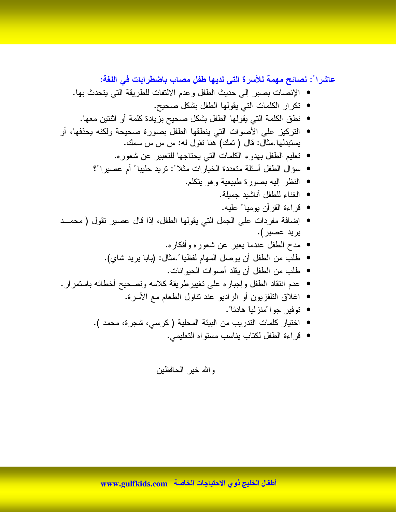عاشرا ً: نصائح مهمة للأسرة التي لديها طفل مصاب باضطرابات في اللغة:

- الإنصات بصبر إلى حديث الطفل وعدم الالتفات للطريقة التي يتحدث بها.
	- نكر ار الكلمات التي يقولها الطفل بشكل صحيح.
	- نطق الكلمة التي يقولها الطفل بشكل صحيح بزيادة كلمة أو اثنتين معها.
- التركيز على الأصوات التي ينطقها الطفل بصورة صحيحة ولكنه يحذفها، أو يستبدلها.مثال: قال ( تمك) هنا نقول له: س س س سمك.
	- تعليم الطفل بهدوء الكلمات التي يحتاجها للتعبير عن شعوره.
	- سؤال الطفل أسئلة متعددة الخيارات مثلاً : تريد حليبا ً أم عصيرا ً؟
		- النظر اليه بصورة طبيعية وهو يتكلم.
			- الغناء للطفل أناشيد جميلة.
			- قراءة القرآن بوميا ً عليه.
- إضافة مفردات على الجمل التي يقولها الطفل، إذا قال عصبير نقول ( محمــد پر پد عصير ).
	- مدح الطفل عندما يعبر عن شعوره وأفكاره.
	- طلب من الطفل أن يوصل المهام لفظيا ً.مثال: (بابا يريد شاي).
		- طلب من الطفل أن بقلد أصبو ات الحبو انات.
- عدم انتقاد الطفل و إجبار ه علمي تغيير طريقة كلامه وتصحيح أخطائه باستمر إر .
	- اغلاق النلفزيون أو الراديو عند نتاول الطعام مع الأسرة.
		- توفير جواءًمنزلياً هادئاً .
	- اختيار كلمات التدريب من البيئة المحلية ( كرسي، شجرة، محمد ).
		- قراءة الطفل لكتاب بناسب مستواه التعليمي.

و الله خير الحافظين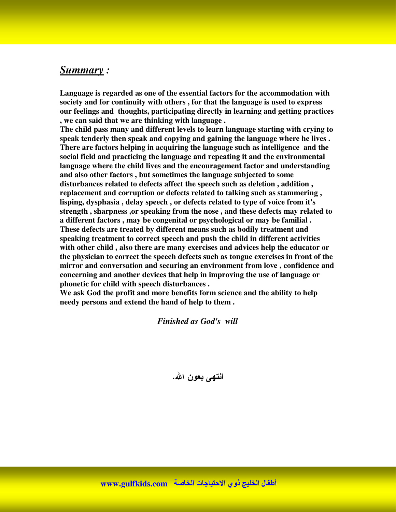#### *Summary :*

**Language is regarded as one of the essential factors for the accommodation with society and for continuity with others , for that the language is used to express our feelings and thoughts, participating directly in learning and getting practices , we can said that we are thinking with language .**

**The child pass many and different levels to learn language starting with crying to speak tenderly then speak and copying and gaining the language where he lives . There are factors helping in acquiring the language such as intelligence and the social field and practicing the language and repeating it and the environmental language where the child lives and the encouragement factor and understanding and also other factors , but sometimes the language subjected to some disturbances related to defects affect the speech such as deletion , addition , replacement and corruption or defects related to talking such as stammering , lisping, dysphasia , delay speech , or defects related to type of voice from it's strength , sharpness ,or speaking from the nose , and these defects may related to a different factors , may be congenital or psychological or may be familial . These defects are treated by different means such as bodily treatment and speaking treatment to correct speech and push the child in different activities with other child , also there are many exercises and advices help the educator or the physician to correct the speech defects such as tongue exercises in front of the mirror and conversation and securing an environment from love , confidence and concerning and another devices that help in improving the use of language or phonetic for child with speech disturbances .**

**We ask God the profit and more benefits form science and the ability to help needy persons and extend the hand of help to them .**

*Finished as God's will*

انته*ی* بعون الله.